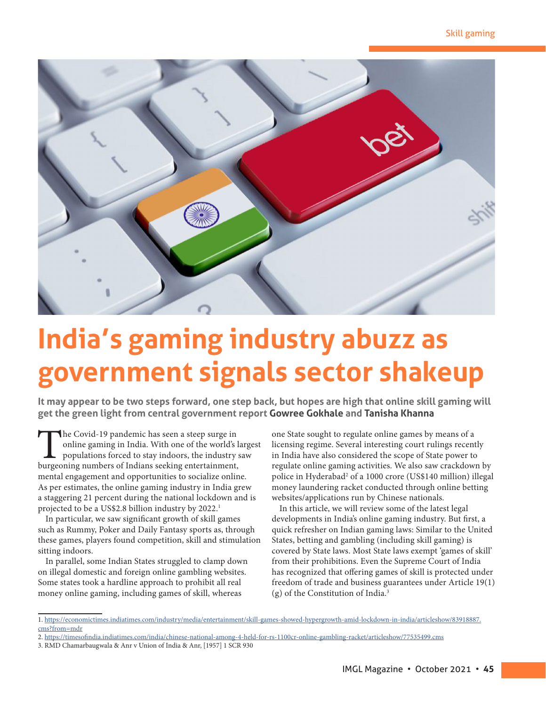

# **India's gaming industry abuzz as government signals sector shakeup**

**It may appear to be two steps forward, one step back, but hopes are high that online skill gaming will get the green light from central government report Gowree Gokhale and Tanisha Khanna**

The Covid-19 pandemic has seen a steep surge in<br>online gaming in India. With one of the world's l<br>populations forced to stay indoors, the industry<br>burgeoning numbers of Indians seeking entertainment, online gaming in India. With one of the world's largest populations forced to stay indoors, the industry saw burgeoning numbers of Indians seeking entertainment, mental engagement and opportunities to socialize online. As per estimates, the online gaming industry in India grew a staggering 21 percent during the national lockdown and is projected to be a US\$2.8 billion industry by 2022.<sup>1</sup>

In particular, we saw significant growth of skill games such as Rummy, Poker and Daily Fantasy sports as, through these games, players found competition, skill and stimulation sitting indoors.

In parallel, some Indian States struggled to clamp down on illegal domestic and foreign online gambling websites. Some states took a hardline approach to prohibit all real money online gaming, including games of skill, whereas

one State sought to regulate online games by means of a licensing regime. Several interesting court rulings recently in India have also considered the scope of State power to regulate online gaming activities. We also saw crackdown by police in Hyderabad<sup>2</sup> of a 1000 crore (US\$140 million) illegal money laundering racket conducted through online betting websites/applications run by Chinese nationals.

In this article, we will review some of the latest legal developments in India's online gaming industry. But first, a quick refresher on Indian gaming laws: Similar to the United States, betting and gambling (including skill gaming) is covered by State laws. Most State laws exempt 'games of skill' from their prohibitions. Even the Supreme Court of India has recognized that offering games of skill is protected under freedom of trade and business guarantees under Article 19(1) (g) of the Constitution of India.3

<sup>1.</sup> https://economictimes.indiatimes.com/industry/media/entertainment/skill-games-showed-hypergrowth-amid-lockdown-in-india/articleshow/83918887. cms?from=mdr

<sup>2.</sup> https://timesofindia.indiatimes.com/india/chinese-national-among-4-held-for-rs-1100cr-online-gambling-racket/articleshow/77535499.cms

<sup>3.</sup> RMD Chamarbaugwala & Anr v Union of India & Anr, [1957] 1 SCR 930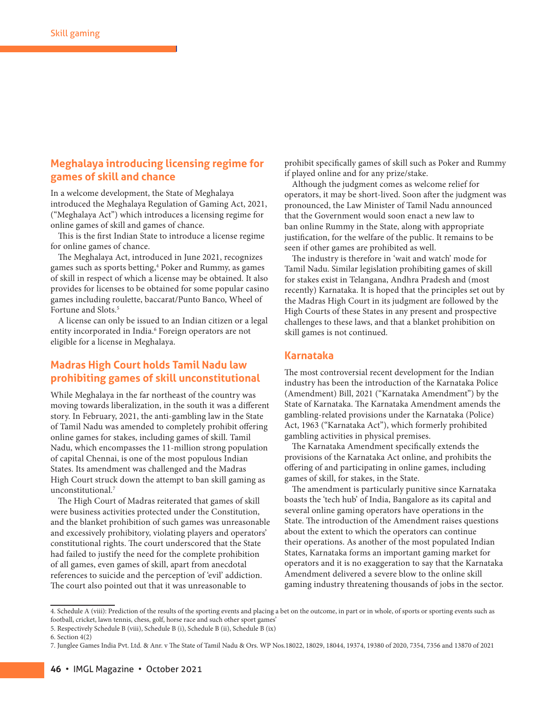## **Meghalaya introducing licensing regime for games of skill and chance**

In a welcome development, the State of Meghalaya introduced the Meghalaya Regulation of Gaming Act, 2021, ("Meghalaya Act") which introduces a licensing regime for online games of skill and games of chance.

This is the first Indian State to introduce a license regime for online games of chance.

The Meghalaya Act, introduced in June 2021, recognizes games such as sports betting,<sup>4</sup> Poker and Rummy, as games of skill in respect of which a license may be obtained. It also provides for licenses to be obtained for some popular casino games including roulette, baccarat/Punto Banco, Wheel of Fortune and Slots.<sup>5</sup>

A license can only be issued to an Indian citizen or a legal entity incorporated in India.<sup>6</sup> Foreign operators are not eligible for a license in Meghalaya.

## **Madras High Court holds Tamil Nadu law prohibiting games of skill unconstitutional**

While Meghalaya in the far northeast of the country was moving towards liberalization, in the south it was a different story. In February, 2021, the anti-gambling law in the State of Tamil Nadu was amended to completely prohibit offering online games for stakes, including games of skill. Tamil Nadu, which encompasses the 11-million strong population of capital Chennai, is one of the most populous Indian States. Its amendment was challenged and the Madras High Court struck down the attempt to ban skill gaming as unconstitutional.7

The High Court of Madras reiterated that games of skill were business activities protected under the Constitution, and the blanket prohibition of such games was unreasonable and excessively prohibitory, violating players and operators' constitutional rights. The court underscored that the State had failed to justify the need for the complete prohibition of all games, even games of skill, apart from anecdotal references to suicide and the perception of 'evil' addiction. The court also pointed out that it was unreasonable to

prohibit specifically games of skill such as Poker and Rummy if played online and for any prize/stake.

Although the judgment comes as welcome relief for operators, it may be short-lived. Soon after the judgment was pronounced, the Law Minister of Tamil Nadu announced that the Government would soon enact a new law to ban online Rummy in the State, along with appropriate justification, for the welfare of the public. It remains to be seen if other games are prohibited as well.

The industry is therefore in 'wait and watch' mode for Tamil Nadu. Similar legislation prohibiting games of skill for stakes exist in Telangana, Andhra Pradesh and (most recently) Karnataka. It is hoped that the principles set out by the Madras High Court in its judgment are followed by the High Courts of these States in any present and prospective challenges to these laws, and that a blanket prohibition on skill games is not continued.

#### **Karnataka**

The most controversial recent development for the Indian industry has been the introduction of the Karnataka Police (Amendment) Bill, 2021 ("Karnataka Amendment") by the State of Karnataka. The Karnataka Amendment amends the gambling-related provisions under the Karnataka (Police) Act, 1963 ("Karnataka Act"), which formerly prohibited gambling activities in physical premises.

The Karnataka Amendment specifically extends the provisions of the Karnataka Act online, and prohibits the offering of and participating in online games, including games of skill, for stakes, in the State.

The amendment is particularly punitive since Karnataka boasts the 'tech hub' of India, Bangalore as its capital and several online gaming operators have operations in the State. The introduction of the Amendment raises questions about the extent to which the operators can continue their operations. As another of the most populated Indian States, Karnataka forms an important gaming market for operators and it is no exaggeration to say that the Karnataka Amendment delivered a severe blow to the online skill gaming industry threatening thousands of jobs in the sector.

<sup>4.</sup> Schedule A (viii): Prediction of the results of the sporting events and placing a bet on the outcome, in part or in whole, of sports or sporting events such as football, cricket, lawn tennis, chess, golf, horse race and such other sport games' 5. Respectively Schedule B (viii), Schedule B (i), Schedule B (ii), Schedule B (ix)

<sup>6.</sup> Section 4(2)

<sup>7.</sup> Junglee Games India Pvt. Ltd. & Anr. v The State of Tamil Nadu & Ors. WP Nos.18022, 18029, 18044, 19374, 19380 of 2020, 7354, 7356 and 13870 of 2021